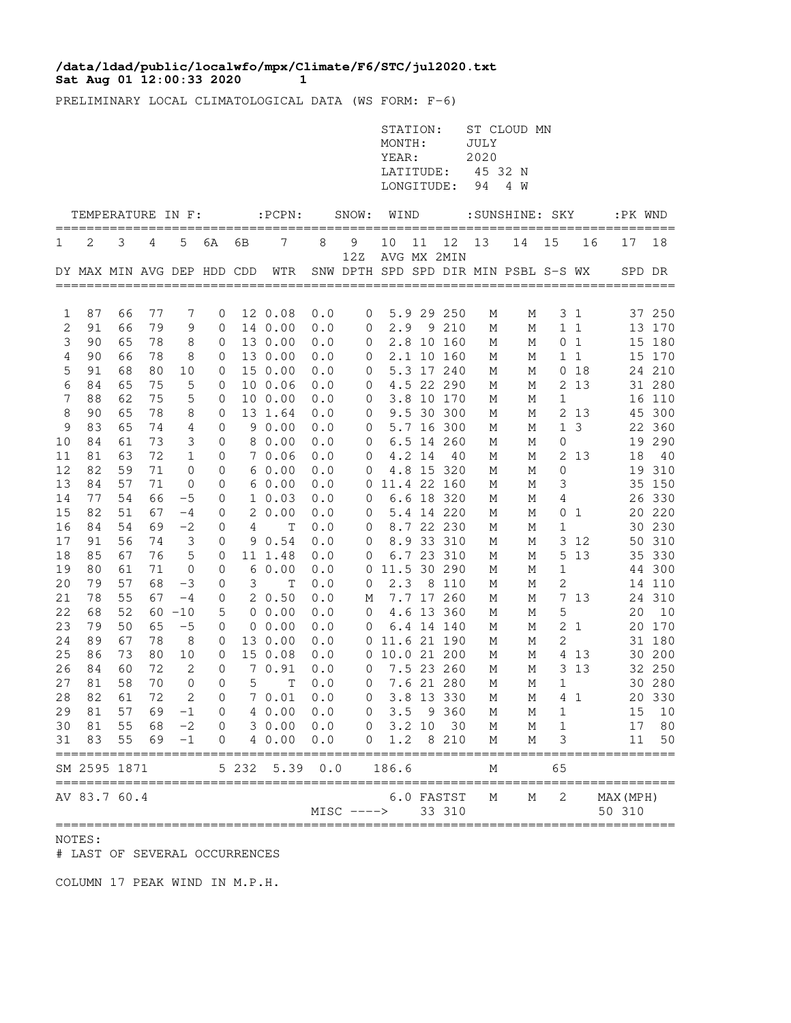## **Sat Aug 01 12:00:33 2020 1 /data/ldad/public/localwfo/mpx/Climate/F6/STC/jul2020.txt**

PRELIMINARY LOCAL CLIMATOLOGICAL DATA (WS FORM: F-6)

|          |                                      |          |          |              |                  |       |                 |                                                            |                                                  | STATION:<br>MONTH:<br>YEAR:<br>LATITUDE:<br>LONGITUDE: |        |                   | JULY<br>2020<br>45 32 N<br>94 | ST CLOUD MN<br>4 W                   |             |                |                      |           |
|----------|--------------------------------------|----------|----------|--------------|------------------|-------|-----------------|------------------------------------------------------------|--------------------------------------------------|--------------------------------------------------------|--------|-------------------|-------------------------------|--------------------------------------|-------------|----------------|----------------------|-----------|
|          | TEMPERATURE IN F:                    |          |          |              |                  |       | $:$ PCPN $:$    |                                                            | SNOW:                                            | WIND                                                   |        |                   |                               | :SUNSHINE: SKY                       |             |                | :PK WND              | =====     |
| 1        | 2                                    | 3        | 4        | 5            | 6A               | 6В    | 7               | 8                                                          | 9<br>12Z                                         | 10                                                     | 11     | 12<br>AVG MX 2MIN | 13                            | 14                                   | 15          | 16             | 17                   | 18        |
|          | DY MAX MIN AVG DEP HDD CDD           |          |          |              |                  |       | WTR             |                                                            |                                                  |                                                        |        |                   |                               | SNW DPTH SPD SPD DIR MIN PSBL S-S WX |             |                | SPD DR               |           |
| 1        | 87                                   | 66       | 77       | 7            | 0                |       | 12 0.08         | 0.0                                                        | 0                                                |                                                        |        | 5.9 29 250        | М                             | М                                    |             | 3 <sub>1</sub> |                      | 37 250    |
| 2        | 91                                   | 66       | 79       | 9            | 0                |       | 14 0.00         | 0.0                                                        | 0                                                | 2.9                                                    |        | 9 210             | М                             | М                                    |             | $1\quad1$      |                      | 13 170    |
| 3        | 90                                   | 65       | 78       | 8            | 0                |       | 13 0.00         | 0.0                                                        | 0                                                |                                                        |        | 2.8 10 160        | М                             | М                                    | 0           | $\mathbf{1}$   | 15                   | 180       |
| 4        | 90                                   | 66       | 78       | 8            | 0                |       | 13 0.00         | 0.0                                                        | 0                                                |                                                        |        | 2.1 10 160        | М                             | М                                    | 1           | $\mathbf{1}$   |                      | 15 170    |
| 5        | 91                                   | 68       | 80       | 10           | 0                |       | 15 0.00         | 0.0                                                        | 0                                                |                                                        |        | 5.3 17 240        | М                             | Μ                                    | 0           | 18             |                      | 24 210    |
| 6        | 84                                   | 65       | 75       | 5            | 0                |       | 10 0.06         | 0.0                                                        | 0                                                |                                                        |        | 4.5 22 290        | М                             | М                                    | 2           | 13             |                      | 31 280    |
| 7        | 88                                   | 62       | 75       | 5            | 0                |       | 10 0.00         | 0.0                                                        | 0                                                |                                                        |        | 3.8 10 170        | М                             | Μ                                    | 1           |                |                      | 16 110    |
| 8        | 90                                   | 65       | 78       | 8            | 0                |       | 13 1.64         | 0.0                                                        | 0                                                |                                                        |        | 9.5 30 300        | М                             | М                                    |             | 2 13           |                      | 45 300    |
| 9        | 83                                   | 65       | 74       | 4            | 0                |       | 90.00           | 0.0                                                        | 0                                                |                                                        |        | 5.7 16 300        | М                             | М                                    | 1           | 3              | 22                   | 360       |
| 10       | 84                                   | 61       | 73       | 3            | 0                |       | 8 0.00          | 0.0                                                        | 0                                                |                                                        |        | 6.5 14 260        | М                             | М                                    | 0           |                | 19                   | 290       |
| 11<br>12 | 81<br>82                             | 63<br>59 | 72<br>71 | $\mathbf 1$  | 0<br>0           |       | 7 0.06<br>60.00 | 0.0<br>0.0                                                 | 0                                                |                                                        | 4.2 14 | 40<br>4.8 15 320  | Μ                             | М                                    | 2           | 13             | $18\,$<br>19         | 40<br>310 |
| 13       | 84                                   | 57       | 71       | 0<br>0       | 0                |       | 60.00           | 0.0                                                        | 0<br>0                                           |                                                        |        | 11.4 22 160       | М<br>М                        | М<br>М                               | 0<br>3      |                | 35                   | 150       |
| 14       | 77                                   | 54       | 66       | $-5$         | 0                |       | $1\;\;0.03$     | 0.0                                                        | 0                                                |                                                        |        | 6.6 18 320        | М                             | М                                    | 4           |                | 26                   | 330       |
| 15       | 82                                   | 51       | 67       | $-4$         | 0                | 2     | 0.00            | 0.0                                                        | 0                                                |                                                        |        | 5.4 14 220        | М                             | М                                    | 0           | 1              | 20                   | 220       |
| 16       | 84                                   | 54       | 69       | $-2$         | 0                | 4     | Т               | 0.0                                                        | 0                                                |                                                        |        | 8.7 22 230        | М                             | М                                    | 1           |                |                      | 30 230    |
| 17       | 91                                   | 56       | 74       | $\mathsf 3$  | 0                |       | 90.54           | 0.0                                                        | 0                                                |                                                        |        | 8.9 33 310        | М                             | М                                    | 3           | 12             |                      | 50 310    |
| 18       | 85                                   | 67       | 76       | 5            | 0                |       | 11 1.48         | 0.0                                                        | 0                                                |                                                        |        | 6.7 23 310        | М                             | М                                    | 5           | 13             |                      | 35 330    |
| 19       | 80                                   | 61       | 71       | 0            | 0                |       | 60.00           | 0.0                                                        | 0                                                |                                                        |        | 11.5 30 290       | М                             | М                                    | $\mathbf 1$ |                |                      | 44 300    |
| 20       | 79                                   | 57       | 68       | -3           | 0                | 3     | Т               | 0.0                                                        | 0                                                | 2.3                                                    |        | 8 110             | М                             | М                                    | 2           |                |                      | 14 110    |
| 21       | 78                                   | 55       | 67       | $-4$         | 0                |       | 20.50           | 0.0                                                        | М                                                |                                                        |        | 7.7 17 260        | М                             | М                                    | 7           | 13             |                      | 24 310    |
| 22       | 68                                   | 52       | 60       | $-10$        | 5                |       | $0\;\;0.00$     | 0.0                                                        | 0                                                |                                                        |        | 4.6 13 360        | М                             | М                                    | 5           |                | 20                   | 10        |
| 23       | 79                                   | 50       | 65       | $-5$         | $\mathbf 0$      |       | $0\;\;0.00$     | 0.0                                                        | 0                                                |                                                        |        | 6.4 14 140        | М                             | М                                    |             | 2 <sub>1</sub> | 20                   | 170       |
| 24       | 89                                   | 67       | 78       | 8            | 0                |       | 13 0.00         | 0.0                                                        | 0                                                | 11.6 21 190                                            |        |                   | М                             | М                                    | 2           |                | 31                   | 180       |
| 25       | 86                                   | 73       | 80       | 10           | 0                |       | 15 0.08         | 0.0                                                        | 0                                                |                                                        |        | 10.0 21 200       | М                             | М                                    |             | 4 1 3          |                      | 30 200    |
| 26       | 84                                   | 60       | 72       | 2            | 0                |       | 70.91           | 0.0                                                        | 0                                                |                                                        |        | 7.5 23 260        | М                             | М                                    |             | 3 1 3          |                      | 32 250    |
| 27       | 81                                   | 58       | 70       | 0            | $\mathbf{0}$     | 5     | Т               | 0.0                                                        | 0                                                |                                                        |        | 7.6 21 280        | М                             | М                                    | 1           |                |                      | 30 280    |
| 28       | 82                                   | 61       | 72       | 2            | $\Omega$         |       | 70.01           | 0.0                                                        | 0                                                |                                                        |        | 3.8 13 330        | М                             | М                                    |             | 41             |                      | 20 330    |
| 29       | 81                                   | 57       | 69       | $^{\rm -1}$  | 0                |       | 4 0.00          | 0.0                                                        | 0                                                |                                                        |        | 3.5 9 360         | М                             | Μ                                    | 1           |                | 15                   | 10        |
| 30<br>31 | 81<br>83                             | 55<br>55 | 68<br>69 | $-2$<br>$-1$ | $\mathbf 0$<br>0 |       | 30.00<br>4 0.00 | 0.0<br>$\ensuremath{\mathbf 0}$ . $\ensuremath{\mathbf 0}$ | 0<br>0                                           | 1.2                                                    | 3.2 10 | 30<br>8 210       | Μ<br>М                        | М<br>М                               | 1<br>3      |                | 17<br>11             | 80<br>50  |
|          | SM 2595 1871                         |          |          |              |                  | 5 232 | 5.39            | 0.0                                                        |                                                  | 186.6                                                  |        |                   | М                             |                                      | 65          |                |                      |           |
|          | :========== <b>:</b><br>AV 83.7 60.4 |          |          |              |                  |       |                 |                                                            |                                                  |                                                        |        | 6.0 FASTST        | Μ                             | М                                    | 2           |                | MAX (MPH)            |           |
|          |                                      |          |          |              |                  |       |                 |                                                            | $MISC$ ----><br>================================ |                                                        |        | 33 310            |                               |                                      |             |                | 50 310<br>========== |           |

NOTES:

# LAST OF SEVERAL OCCURRENCES

COLUMN 17 PEAK WIND IN M.P.H.